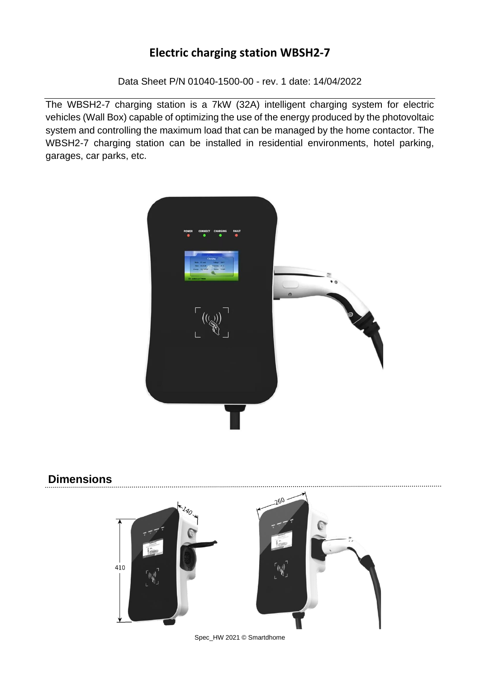Data Sheet P/N 01040-1500-00 - rev. 1 date: 14/04/2022

The WBSH2-7 charging station is a 7kW (32A) intelligent charging system for electric vehicles (Wall Box) capable of optimizing the use of the energy produced by the photovoltaic system and controlling the maximum load that can be managed by the home contactor. The WBSH2-7 charging station can be installed in residential environments, hotel parking, garages, car parks, etc.



### **Dimensions**



Spec\_HW 2021 © Smartdhome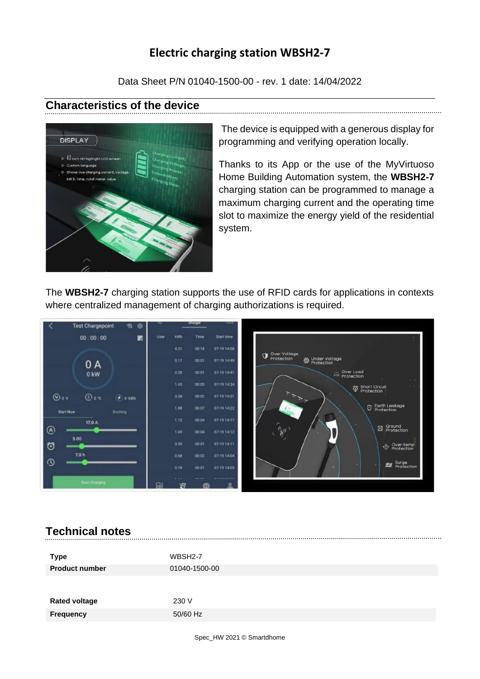Data Sheet P/N 01040-1500-00 - rev. 1 date: 14/04/2022

### **Characteristics of the device**



The device is equipped with a generous display for programming and verifying operation locally.

Thanks to its App or the use of the MyVirtuoso Home Building Automation system, the **WBSH2-7** charging station can be programmed to manage a maximum charging current and the operating time slot to maximize the energy yield of the residential system.

The **WBSH2-7** charging station supports the use of RFID cards for applications in contexts where centralized management of charging authorizations is required.



### **Technical notes**

| Type<br><b>Product number</b> | WBSH2-7<br>01040-1500-00 |
|-------------------------------|--------------------------|
| <b>Rated voltage</b>          | 230 V                    |
| <b>Frequency</b>              | 50/60 Hz                 |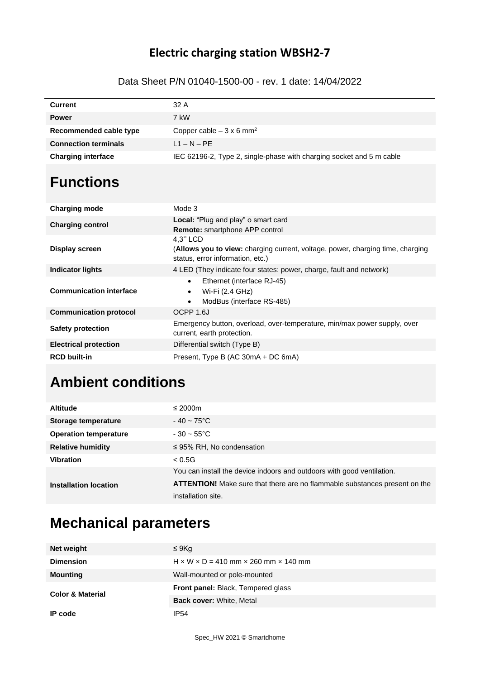#### Data Sheet P/N 01040-1500-00 - rev. 1 date: 14/04/2022

| <b>Current</b>              | 32 A                                                                 |
|-----------------------------|----------------------------------------------------------------------|
| <b>Power</b>                | 7 kW                                                                 |
| Recommended cable type      | Copper cable $-3 \times 6$ mm <sup>2</sup>                           |
| <b>Connection terminals</b> | $L1 - N - PF$                                                        |
| <b>Charging interface</b>   | IEC 62196-2, Type 2, single-phase with charging socket and 5 m cable |

## **Functions**

| <b>Charging mode</b>           | Mode 3                                                                                                                         |
|--------------------------------|--------------------------------------------------------------------------------------------------------------------------------|
| <b>Charging control</b>        | <b>Local:</b> "Plug and play" o smart card<br><b>Remote:</b> smartphone APP control                                            |
| Display screen                 | 4.3" LCD<br>(Allows you to view: charging current, voltage, power, charging time, charging<br>status, error information, etc.) |
| Indicator lights               | 4 LED (They indicate four states: power, charge, fault and network)                                                            |
| <b>Communication interface</b> | Ethernet (interface RJ-45)<br>$\bullet$<br>Wi-Fi (2.4 GHz)<br>$\bullet$<br>ModBus (interface RS-485)<br>$\bullet$              |
| <b>Communication protocol</b>  | OCPP 1.6J                                                                                                                      |
| <b>Safety protection</b>       | Emergency button, overload, over-temperature, min/max power supply, over<br>current, earth protection.                         |
| <b>Electrical protection</b>   | Differential switch (Type B)                                                                                                   |
| <b>RCD built-in</b>            | Present, Type B (AC 30mA + DC 6mA)                                                                                             |

# **Ambient conditions**

| <b>Altitude</b>              | $\leq 2000$ m                                                                     |
|------------------------------|-----------------------------------------------------------------------------------|
| <b>Storage temperature</b>   | $-40 \sim 75^{\circ}$ C                                                           |
| <b>Operation temperature</b> | $-30 - 55^{\circ}$ C                                                              |
| <b>Relative humidity</b>     | $\leq$ 95% RH, No condensation                                                    |
| <b>Vibration</b>             | < 0.5G                                                                            |
| Installation location        | You can install the device indoors and outdoors with good ventilation.            |
|                              | <b>ATTENTION!</b> Make sure that there are no flammable substances present on the |
|                              | installation site.                                                                |

## **Mechanical parameters**

| Net weight                  | $\leq 9$ Kg                                                    |
|-----------------------------|----------------------------------------------------------------|
| <b>Dimension</b>            | $H \times W \times D = 410$ mm $\times$ 260 mm $\times$ 140 mm |
| <b>Mounting</b>             | Wall-mounted or pole-mounted                                   |
| <b>Color &amp; Material</b> | <b>Front panel:</b> Black, Tempered glass                      |
|                             | <b>Back cover: White, Metal</b>                                |
| IP code                     | IP <sub>54</sub>                                               |